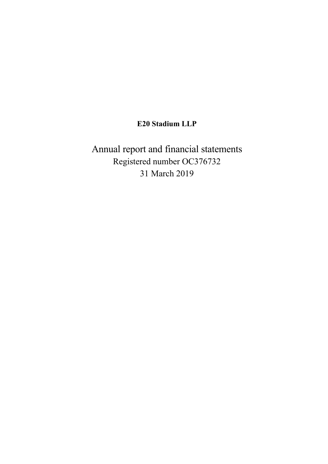# **E20 Stadium LLP**

Annual report and financial statements Registered number OC376732 31 March 2019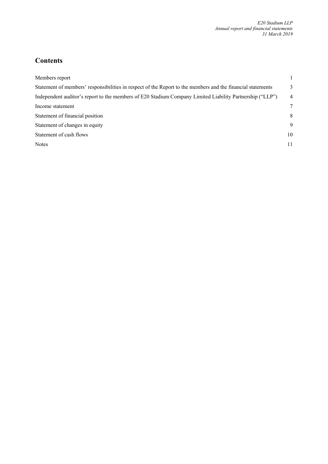## **Contents**

| Members report                                                                                              |                |
|-------------------------------------------------------------------------------------------------------------|----------------|
| Statement of members' responsibilities in respect of the Report to the members and the financial statements | 3              |
| Independent auditor's report to the members of E20 Stadium Company Limited Liability Partnership ("LLP")    | $\overline{4}$ |
| Income statement                                                                                            | 7              |
| Statement of financial position                                                                             | 8              |
| Statement of changes in equity                                                                              | 9              |
| Statement of cash flows                                                                                     | 10             |
| <b>Notes</b>                                                                                                | 11             |
|                                                                                                             |                |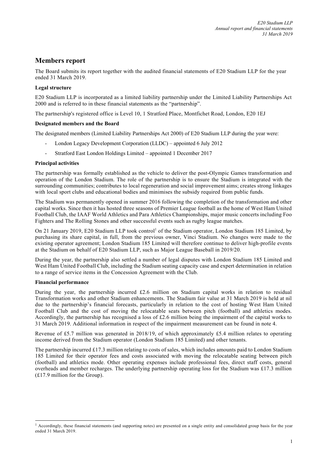## **Members report**

The Board submits its report together with the audited financial statements of E20 Stadium LLP for the year ended 31 March 2019.

### **Legal structure**

E20 Stadium LLP is incorporated as a limited liability partnership under the Limited Liability Partnerships Act 2000 and is referred to in these financial statements as the "partnership".

The partnership's registered office is Level 10, 1 Stratford Place, Montfichet Road, London, E20 1EJ

### **Designated members and the Board**

The designated members (Limited Liability Partnerships Act 2000) of E20 Stadium LLP during the year were:

- London Legacy Development Corporation (LLDC) appointed 6 July 2012
- Stratford East London Holdings Limited appointed 1 December 2017

### **Principal activities**

The partnership was formally established as the vehicle to deliver the post-Olympic Games transformation and operation of the London Stadium. The role of the partnership is to ensure the Stadium is integrated with the surrounding communities; contributes to local regeneration and social improvement aims; creates strong linkages with local sport clubs and educational bodies and minimises the subsidy required from public funds.

The Stadium was permanently opened in summer 2016 following the completion of the transformation and other capital works. Since then it has hosted three seasons of Premier League football as the home of West Ham United Football Club, the IAAF World Athletics and Para Athletics Championships, major music concerts including Foo Fighters and The Rolling Stones and other successful events such as rugby league matches.

On 21 January 2019, E20 Stadium LLP took control<sup>1</sup> of the Stadium operator, London Stadium 185 Limited, by purchasing its share capital, in full, from the previous owner, Vinci Stadium. No changes were made to the existing operator agreement; London Stadium 185 Limited will therefore continue to deliver high-profile events at the Stadium on behalf of E20 Stadium LLP, such as Major League Baseball in 2019/20.

During the year, the partnership also settled a number of legal disputes with London Stadium 185 Limited and West Ham United Football Club, including the Stadium seating capacity case and expert determination in relation to a range of service items in the Concession Agreement with the Club.

### **Financial performance**

During the year, the partnership incurred  $£2.6$  million on Stadium capital works in relation to residual Transformation works and other Stadium enhancements. The Stadium fair value at 31 March 2019 is held at nil due to the partnership's financial forecasts, particularly in relation to the cost of hosting West Ham United Football Club and the cost of moving the relocatable seats between pitch (football) and athletics modes. Accordingly, the partnership has recognised a loss of £2.6 million being the impairment of the capital works to 31 March 2019. Additional information in respect of the impairment measurement can be found in note 4.

Revenue of £5.7 million was generated in 2018/19, of which approximately £5.4 million relates to operating income derived from the Stadium operator (London Stadium 185 Limited) and other tenants.

The partnership incurred £17.3 million relating to costs of sales, which includes amounts paid to London Stadium 185 Limited for their operator fees and costs associated with moving the relocatable seating between pitch (football) and athletics mode. Other operating expenses include professional fees, direct staff costs, general overheads and member recharges. The underlying partnership operating loss for the Stadium was £17.3 million (£17.9 million for the Group).

 $<sup>1</sup>$  Accordingly, these financial statements (and supporting notes) are presented on a single entity and consolidated group basis for the year</sup> ended 31 March 2019.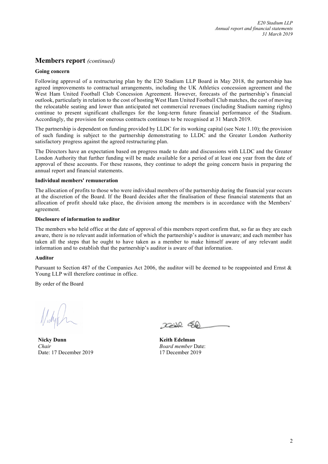### **Members report** *(continued)*

#### **Going concern**

Following approval of a restructuring plan by the E20 Stadium LLP Board in May 2018, the partnership has agreed improvements to contractual arrangements, including the UK Athletics concession agreement and the West Ham United Football Club Concession Agreement. However, forecasts of the partnership's financial outlook, particularly in relation to the cost of hosting West Ham United Football Club matches, the cost of moving the relocatable seating and lower than anticipated net commercial revenues (including Stadium naming rights) continue to present significant challenges for the long-term future financial performance of the Stadium. Accordingly, the provision for onerous contracts continues to be recognised at 31 March 2019.

The partnership is dependent on funding provided by LLDC for its working capital (see Note 1.10); the provision of such funding is subject to the partnership demonstrating to LLDC and the Greater London Authority satisfactory progress against the agreed restructuring plan.

The Directors have an expectation based on progress made to date and discussions with LLDC and the Greater London Authority that further funding will be made available for a period of at least one year from the date of approval of these accounts. For these reasons, they continue to adopt the going concern basis in preparing the annual report and financial statements.

#### **Individual members' remuneration**

The allocation of profits to those who were individual members of the partnership during the financial year occurs at the discretion of the Board. If the Board decides after the finalisation of these financial statements that an allocation of profit should take place, the division among the members is in accordance with the Members' agreement.

#### **Disclosure of information to auditor**

The members who held office at the date of approval of this members report confirm that, so far as they are each aware, there is no relevant audit information of which the partnership's auditor is unaware; and each member has taken all the steps that he ought to have taken as a member to make himself aware of any relevant audit information and to establish that the partnership's auditor is aware of that information.

### **Auditor**

Pursuant to Section 487 of the Companies Act 2006, the auditor will be deemed to be reappointed and Ernst & Young LLP will therefore continue in office.

By order of the Board

**Nicky Dunn** *Chair* Date: 17 December 2019

seile 86

**Keith Edelman** *Board member* Date: 17 December 2019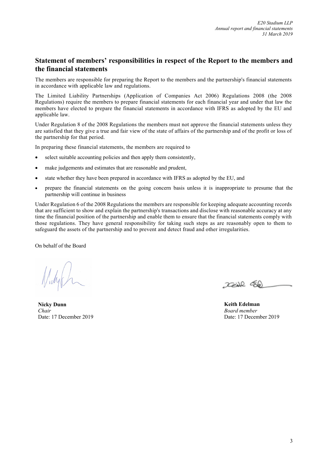## **Statement of members' responsibilities in respect of the Report to the members and the financial statements**

The members are responsible for preparing the Report to the members and the partnership's financial statements in accordance with applicable law and regulations.

The Limited Liability Partnerships (Application of Companies Act 2006) Regulations 2008 (the 2008 Regulations) require the members to prepare financial statements for each financial year and under that law the members have elected to prepare the financial statements in accordance with IFRS as adopted by the EU and applicable law.

Under Regulation 8 of the 2008 Regulations the members must not approve the financial statements unless they are satisfied that they give a true and fair view of the state of affairs of the partnership and of the profit or loss of the partnership for that period.

In preparing these financial statements, the members are required to

- select suitable accounting policies and then apply them consistently,
- make judgements and estimates that are reasonable and prudent,
- state whether they have been prepared in accordance with IFRS as adopted by the EU, and
- prepare the financial statements on the going concern basis unless it is inappropriate to presume that the partnership will continue in business

Under Regulation 6 of the 2008 Regulations the members are responsible for keeping adequate accounting records that are sufficient to show and explain the partnership's transactions and disclose with reasonable accuracy at any time the financial position of the partnership and enable them to ensure that the financial statements comply with those regulations. They have general responsibility for taking such steps as are reasonably open to them to safeguard the assets of the partnership and to prevent and detect fraud and other irregularities.

On behalf of the Board

**Nicky Dunn** *Chair* Date: 17 December 2019

seile 86

**Keith Edelman** *Board member* Date: 17 December 2019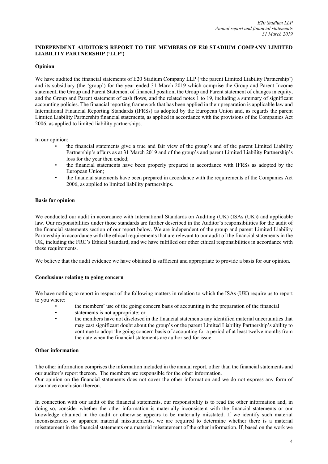### **INDEPENDENT AUDITOR'S REPORT TO THE MEMBERS OF E20 STADIUM COMPANY LIMITED LIABILITY PARTNERSHIP ('LLP')**

### **Opinion**

We have audited the financial statements of E20 Stadium Company LLP ('the parent Limited Liability Partnership') and its subsidiary (the 'group') for the year ended 31 March 2019 which comprise the Group and Parent Income statement, the Group and Parent Statement of financial position, the Group and Parent statement of changes in equity, and the Group and Parent statement of cash flows, and the related notes 1 to 19, including a summary of significant accounting policies. The financial reporting framework that has been applied in their preparation is applicable law and International Financial Reporting Standards (IFRSs) as adopted by the European Union and, as regards the parent Limited Liability Partnership financial statements, as applied in accordance with the provisions of the Companies Act 2006, as applied to limited liability partnerships.

In our opinion:

- the financial statements give a true and fair view of the group's and of the parent Limited Liability Partnership's affairs as at 31 March 2019 and of the group's and parent Limited Liability Partnership's loss for the year then ended;
- the financial statements have been properly prepared in accordance with IFRSs as adopted by the European Union;
- the financial statements have been prepared in accordance with the requirements of the Companies Act 2006, as applied to limited liability partnerships.

#### **Basis for opinion**

We conducted our audit in accordance with International Standards on Auditing (UK) (ISAs (UK)) and applicable law. Our responsibilities under those standards are further described in the Auditor's responsibilities for the audit of the financial statements section of our report below. We are independent of the group and parent Limited Liability Partnership in accordance with the ethical requirements that are relevant to our audit of the financial statements in the UK, including the FRC's Ethical Standard, and we have fulfilled our other ethical responsibilities in accordance with these requirements.

We believe that the audit evidence we have obtained is sufficient and appropriate to provide a basis for our opinion.

#### **Conclusions relating to going concern**

We have nothing to report in respect of the following matters in relation to which the ISAs (UK) require us to report to you where:

- the members' use of the going concern basis of accounting in the preparation of the financial
- statements is not appropriate; or
- the members have not disclosed in the financial statements any identified material uncertainties that may cast significant doubt about the group's or the parent Limited Liability Partnership's ability to continue to adopt the going concern basis of accounting for a period of at least twelve months from the date when the financial statements are authorised for issue.

#### **Other information**

The other information comprises the information included in the annual report, other than the financial statements and our auditor's report thereon. The members are responsible for the other information.

Our opinion on the financial statements does not cover the other information and we do not express any form of assurance conclusion thereon.

In connection with our audit of the financial statements, our responsibility is to read the other information and, in doing so, consider whether the other information is materially inconsistent with the financial statements or our knowledge obtained in the audit or otherwise appears to be materially misstated. If we identify such material inconsistencies or apparent material misstatements, we are required to determine whether there is a material misstatement in the financial statements or a material misstatement of the other information. If, based on the work we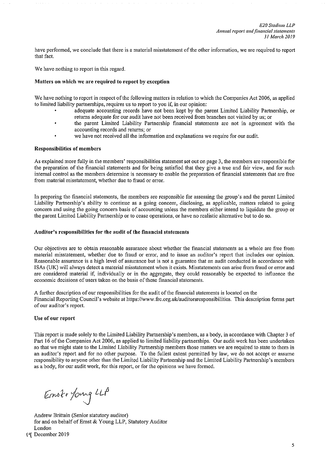have performed, we conclude that there is a material misstatement of the other information, we are required to report that fact.

We have nothing to report in this regard.

#### Matters on which we are required to report by exception

We have nothing to report in respect of the following matters in relation to which the Companies Act 2006, as applied to limited liability partnerships, requires us to report to you if, in our opinion:

- adequate accounting records have not been kept by the parent Limited Liability Partnership, or returns adequate for our audit have not been received from branches not visited by us; or
- the parent Limited Liability Partnership financial statements are not in agreement with the  $\bullet$ accounting records and returns; or
- we have not received all the information and explanations we require for our audit.

#### **Responsibilities of members**

As explained more fully in the members' responsibilities statement set out on page 3, the members are responsible for the preparation of the financial statements and for being satisfied that they give a true and fair view, and for such internal control as the members determine is necessary to enable the preparation of financial statements that are free from material misstatement, whether due to fraud or error.

In preparing the financial statements, the members are responsible for assessing the group's and the parent Limited Liability Partnership's ability to continue as a going concern, disclosing, as applicable, matters related to going concern and using the going concern basis of accounting unless the members either intend to liquidate the group or the parent Limited Liability Partnership or to cease operations, or have no realistic alternative but to do so.

#### Auditor's responsibilities for the audit of the financial statements

Our objectives are to obtain reasonable assurance about whether the financial statements as a whole are free from material misstatement, whether due to fraud or error, and to issue an auditor's report that includes our opinion. Reasonable assurance is a high level of assurance but is not a guarantee that an audit conducted in accordance with ISAs (UK) will always detect a material misstatement when it exists. Misstatements can arise from fraud or error and are considered material if, individually or in the aggregate, they could reasonably be expected to influence the economic decisions of users taken on the basis of these financial statements.

A further description of our responsibilities for the audit of the financial statements is located on the Financial Reporting Council's website at https://www.frc.org.uk/auditorsresponsibilities. This description forms part of our auditor's report.

#### Use of our report

This report is made solely to the Limited Liability Partnership's members, as a body, in accordance with Chapter 3 of Part 16 of the Companies Act 2006, as applied to limited liability partnerships. Our audit work has been undertaken so that we might state to the Limited Liability Partnership members those matters we are required to state to them in an auditor's report and for no other purpose. To the fullest extent permitted by law, we do not accept or assume responsibility to anyone other than the Limited Liability Partnership and the Limited Liability Partnership's members as a body, for our audit work, for this report, or for the opinions we have formed.

Ernst+ Young LLP

Andrew Brittain (Senior statutory auditor) for and on behalf of Ernst & Young LLP, Statutory Auditor London (4 December 2019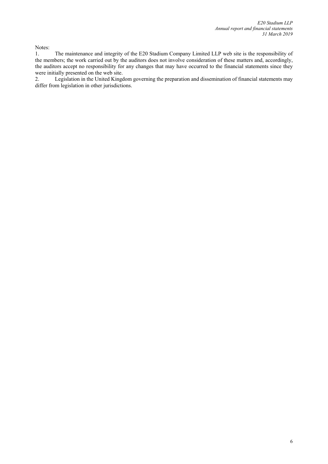Notes:

1. The maintenance and integrity of the E20 Stadium Company Limited LLP web site is the responsibility of the members; the work carried out by the auditors does not involve consideration of these matters and, accordingly, the auditors accept no responsibility for any changes that may have occurred to the financial statements since they were initially presented on the web site.

2. Legislation in the United Kingdom governing the preparation and dissemination of financial statements may differ from legislation in other jurisdictions.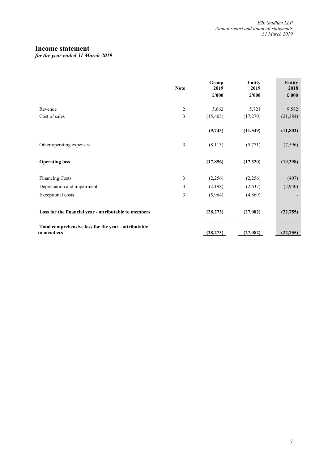## **Income statement**

|                                                                    | <b>Note</b>    | Group<br>2019<br>£'000 | Entity<br>2019<br>£'000 | <b>Entity</b><br>2018<br>£'000 |
|--------------------------------------------------------------------|----------------|------------------------|-------------------------|--------------------------------|
| Revenue                                                            | $\mathfrak{2}$ | 5,662                  | 5,721                   | 9,582                          |
| Cost of sales                                                      | 3              | (15, 405)              | (17,270)                | (21, 384)                      |
|                                                                    |                | (9,743)                | (11, 549)               | (11, 802)                      |
| Other operating expenses                                           | 3              | (8,113)                | (5,771)                 | (7,596)                        |
| <b>Operating loss</b>                                              |                | (17, 856)              | (17,320)                | (19,398)                       |
| <b>Financing Costs</b>                                             | 3              | (2,256)                | (2,256)                 | (407)                          |
| Depreciation and impairment                                        | 3              | (2,198)                | (2,637)                 | (2,950)                        |
| <b>Exceptional</b> costs                                           | 3              | (5,964)                | (4,869)                 |                                |
| Loss for the financial year - attributable to members              |                | (28, 273)              | (27,082)                | (22, 755)                      |
| Total comprehensive loss for the year - attributable<br>to members |                | (28, 273)              | (27,082)                | (22, 755)                      |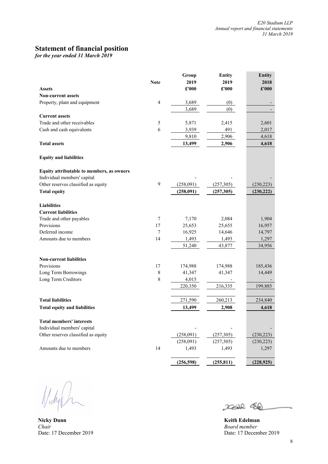### **Statement of financial position**

|                                           |                | Group      | <b>Entity</b> | <b>Entity</b> |
|-------------------------------------------|----------------|------------|---------------|---------------|
|                                           | <b>Note</b>    | 2019       | 2019          | 2018          |
| <b>Assets</b>                             |                | £'000      | £'000         | £'000         |
| <b>Non-current assets</b>                 |                |            |               |               |
| Property, plant and equipment             | $\overline{4}$ | 3,689      | (0)           |               |
|                                           |                | 3,689      | (0)           |               |
| <b>Current assets</b>                     |                |            |               |               |
| Trade and other receivables               | 5              | 5,871      | 2,415         | 2,601         |
| Cash and cash equivalents                 | 6              | 3,939      | 491           | 2,017         |
|                                           |                | 9,810      | 2,906         | 4,618         |
| <b>Total assets</b>                       |                | 13,499     | 2,906         | 4,618         |
| <b>Equity and liabilities</b>             |                |            |               |               |
| Equity attributable to members, as owners |                |            |               |               |
| Individual members' capital               |                |            |               |               |
| Other reserves classified as equity       | 9              | (258,091)  | (257, 305)    | (230, 223)    |
| <b>Total equity</b>                       |                | (258,091)  | (257,305)     | (230, 222)    |
| <b>Liabilities</b>                        |                |            |               |               |
| <b>Current liabilities</b>                |                |            |               |               |
| Trade and other payables                  | 7              | 7,170      | 2,084         | 1,904         |
| Provisions                                | 17             | 25,653     | 25,655        | 16,957        |
| Deferred income                           | 7              | 16,925     | 14,646        | 14,797        |
| Amounts due to members                    | 14             | 1,493      | 1,493         | 1,297         |
|                                           |                | 51,240     | 43,877        | 34,956        |
| <b>Non-current liabilities</b>            |                |            |               |               |
| Provisions                                | 17             | 174,988    | 174,988       | 185,436       |
| Long Term Borrowings                      | 8              | 41,347     | 41,347        | 14,449        |
| Long Term Creditors                       | 8              | 4,015      |               |               |
|                                           |                | 220,350    | 216,335       | 199,885       |
| <b>Total liabilities</b>                  |                | 271,590    | 260,213       | 234,840       |
| <b>Total equity and liabilities</b>       |                | 13,499     | 2,908         | 4,618         |
| <b>Total members' interests</b>           |                |            |               |               |
| Individual members' capital               |                |            |               |               |
| Other reserves classified as equity       |                | (258,091)  | (257, 305)    | (230, 223)    |
|                                           |                | (258,091)  | (257, 305)    | (230, 223)    |
| Amounts due to members                    | 14             | 1,493      | 1,493         | 1,297         |
|                                           |                | (256, 598) | (255, 811)    | (228, 925)    |

Nichy

**Nicky Dunn** *Chair* Date: 17 December 2019

seare El

**Keith Edelman** *Board member* Date: 17 December 2019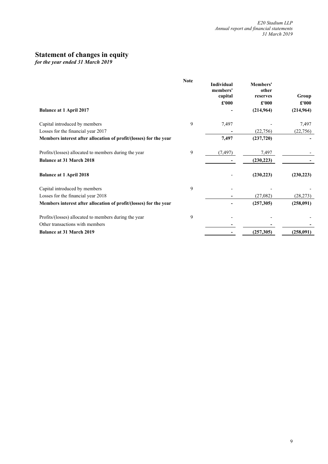## **Statement of changes in equity**

|                                                                   | <b>Note</b> | <b>Individual</b><br>members'<br>capital<br>£'000 | Members'<br>other<br>reserves<br>£'000 | Group<br>£'000 |
|-------------------------------------------------------------------|-------------|---------------------------------------------------|----------------------------------------|----------------|
| <b>Balance at 1 April 2017</b>                                    |             |                                                   | (214,964)                              | (214,964)      |
| Capital introduced by members                                     | 9           | 7,497                                             |                                        | 7,497          |
| Losses for the financial year 2017                                |             |                                                   | (22,756)                               | (22, 756)      |
| Members interest after allocation of profit/(losses) for the year |             | 7,497                                             | (237,720)                              |                |
| Profits/(losses) allocated to members during the year             | 9           | (7, 497)                                          | 7,497                                  |                |
| <b>Balance at 31 March 2018</b>                                   |             |                                                   | (230, 223)                             |                |
| <b>Balance at 1 April 2018</b>                                    |             |                                                   | (230, 223)                             | (230, 223)     |
| Capital introduced by members                                     | 9           |                                                   |                                        |                |
| Losses for the financial year 2018                                |             |                                                   | (27,082)                               | (28, 273)      |
| Members interest after allocation of profit/(losses) for the year |             |                                                   | (257,305)                              | (258,091)      |
| Profits/(losses) allocated to members during the year             | 9           |                                                   |                                        |                |
| Other transactions with members                                   |             |                                                   |                                        |                |
| <b>Balance at 31 March 2019</b>                                   |             |                                                   | (257,305)                              | (258,091)      |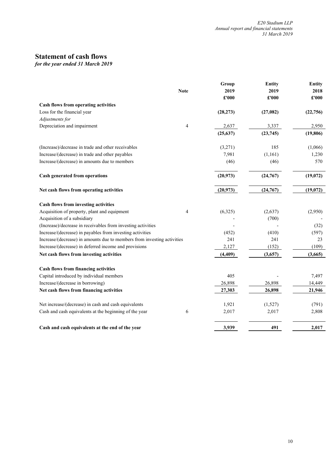## **Statement of cash flows**

|                                                                         | <b>Note</b> | Group<br>2019<br>$\pounds$ '000 | <b>Entity</b><br>2019<br>£'000 | Entity<br>2018<br>£'000 |
|-------------------------------------------------------------------------|-------------|---------------------------------|--------------------------------|-------------------------|
| Cash flows from operating activities                                    |             |                                 |                                |                         |
| Loss for the financial year                                             |             | (28, 273)                       | (27,082)                       | (22,756)                |
| Adjustments for                                                         |             |                                 |                                |                         |
| Depreciation and impairment                                             | 4           | 2,637                           | 3,337                          | 2,950                   |
|                                                                         |             | (25, 637)                       | (23, 745)                      | (19, 806)               |
| (Increase)/decrease in trade and other receivables                      |             | (3,271)                         | 185                            | (1,066)                 |
| Increase/(decrease) in trade and other payables                         |             | 7,981                           | (1,161)                        | 1,230                   |
| Increase/(decrease) in amounts due to members                           |             | (46)                            | (46)                           | 570                     |
| Cash generated from operations                                          |             | (20, 973)                       | (24, 767)                      | (19,072)                |
| Net cash flows from operating activities                                |             | (20, 973)                       | (24, 767)                      | (19,072)                |
| Cash flows from investing activities                                    |             |                                 |                                |                         |
| Acquisition of property, plant and equipment                            | 4           | (6,325)                         | (2,637)                        | (2,950)                 |
| Acquisition of a subsidiary                                             |             |                                 | (700)                          |                         |
| (Increase)/decrease in receivables from investing activities            |             |                                 |                                | (32)                    |
| Increase/(decrease) in payables from investing activities               |             | (452)                           | (410)                          | (597)                   |
| Increase/(decrease) in amounts due to members from investing activities |             | 241                             | 241                            | 23                      |
| Increase/(decrease) in deferred income and provisions                   |             | 2,127                           | (152)                          | (109)                   |
| Net cash flows from investing activities                                |             | (4, 409)                        | (3,657)                        | (3,665)                 |
| <b>Cash flows from financing activities</b>                             |             |                                 |                                |                         |
| Capital introduced by individual members                                |             | 405                             |                                | 7,497                   |
| Increase/(decrease in borrowing)                                        |             | 26,898                          | 26,898                         | 14,449                  |
| Net cash flows from financing activities                                |             | 27,303                          | 26,898                         | 21,946                  |
| Net increase/(decrease) in cash and cash equivalents                    |             | 1,921                           | (1,527)                        | (791)                   |
| Cash and cash equivalents at the beginning of the year                  | 6           | 2,017                           | 2,017                          | 2,808                   |
| Cash and cash equivalents at the end of the year                        |             | 3,939                           | 491                            | 2,017                   |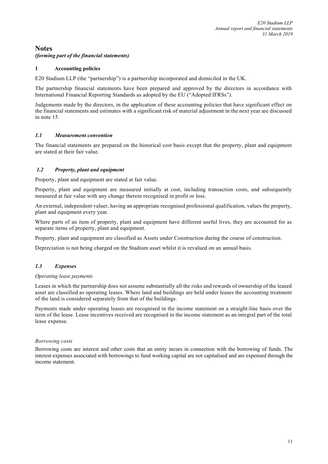### **Notes**  *(forming part of the financial statements)*

### **1 Accounting policies**

E20 Stadium LLP (the "partnership") is a partnership incorporated and domiciled in the UK.

The partnership financial statements have been prepared and approved by the directors in accordance with International Financial Reporting Standards as adopted by the EU ("Adopted IFRSs").

Judgements made by the directors, in the application of these accounting policies that have significant effect on the financial statements and estimates with a significant risk of material adjustment in the next year are discussed in note 15.

### *1.1 Measurement convention*

The financial statements are prepared on the historical cost basis except that the property, plant and equipment are stated at their fair value.

### *1.2 Property, plant and equipment*

Property, plant and equipment are stated at fair value.

Property, plant and equipment are measured initially at cost, including transaction costs, and subsequently measured at fair value with any change therein recognised in profit or loss.

An external, independent valuer, having an appropriate recognised professional qualification, values the property, plant and equipment every year.

Where parts of an item of property, plant and equipment have different useful lives, they are accounted for as separate items of property, plant and equipment.

Property, plant and equipment are classified as Assets under Construction during the course of construction.

Depreciation is not being charged on the Stadium asset whilst it is revalued on an annual basis.

### *1.3 Expenses*

### *Operating lease payments*

Leases in which the partnership does not assume substantially all the risks and rewards of ownership of the leased asset are classified as operating leases. Where land and buildings are held under leases the accounting treatment of the land is considered separately from that of the buildings.

Payments made under operating leases are recognised in the income statement on a straight-line basis over the term of the lease. Lease incentives received are recognised in the income statement as an integral part of the total lease expense.

### *Borrowing costs*

Borrowing costs are interest and other costs that an entity incurs in connection with the borrowing of funds. The interest expenses associated with borrowings to fund working capital are not capitalised and are expensed through the income statement.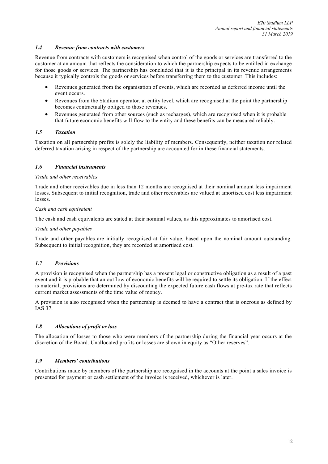### *1.4 Revenue from contracts with customers*

Revenue from contracts with customers is recognised when control of the goods or services are transferred to the customer at an amount that reflects the consideration to which the partnership expects to be entitled in exchange for those goods or services. The partnership has concluded that it is the principal in its revenue arrangements because it typically controls the goods or services before transferring them to the customer. This includes:

- Revenues generated from the organisation of events, which are recorded as deferred income until the event occurs.
- Revenues from the Stadium operator, at entity level, which are recognised at the point the partnership becomes contractually obliged to those revenues.
- Revenues generated from other sources (such as recharges), which are recognised when it is probable that future economic benefits will flow to the entity and these benefits can be measured reliably.

### *1.5 Taxation*

Taxation on all partnership profits is solely the liability of members. Consequently, neither taxation nor related deferred taxation arising in respect of the partnership are accounted for in these financial statements.

### *1.6 Financial instruments*

### *Trade and other receivables*

Trade and other receivables due in less than 12 months are recognised at their nominal amount less impairment losses. Subsequent to initial recognition, trade and other receivables are valued at amortised cost less impairment losses.

### *Cash and cash equivalent*

The cash and cash equivalents are stated at their nominal values, as this approximates to amortised cost.

### *Trade and other payables*

Trade and other payables are initially recognised at fair value, based upon the nominal amount outstanding. Subsequent to initial recognition, they are recorded at amortised cost.

### *1.7 Provisions*

A provision is recognised when the partnership has a present legal or constructive obligation as a result of a past event and it is probable that an outflow of economic benefits will be required to settle its obligation. If the effect is material, provisions are determined by discounting the expected future cash flows at pre-tax rate that reflects current market assessments of the time value of money.

A provision is also recognised when the partnership is deemed to have a contract that is onerous as defined by IAS 37.

### *1.8 Allocations of profit or loss*

The allocation of losses to those who were members of the partnership during the financial year occurs at the discretion of the Board. Unallocated profits or losses are shown in equity as "Other reserves".

### *1.9 Members' contributions*

Contributions made by members of the partnership are recognised in the accounts at the point a sales invoice is presented for payment or cash settlement of the invoice is received, whichever is later.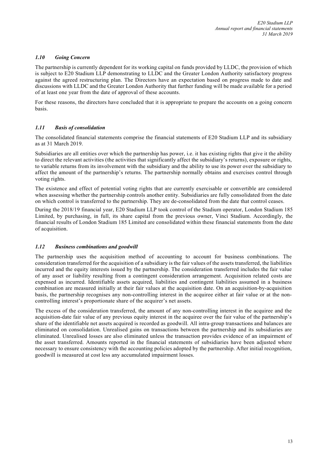### *1.10 Going Concern*

The partnership is currently dependent for its working capital on funds provided by LLDC, the provision of which is subject to E20 Stadium LLP demonstrating to LLDC and the Greater London Authority satisfactory progress against the agreed restructuring plan. The Directors have an expectation based on progress made to date and discussions with LLDC and the Greater London Authority that further funding will be made available for a period of at least one year from the date of approval of these accounts.

For these reasons, the directors have concluded that it is appropriate to prepare the accounts on a going concern basis.

### *1.11 Basis of consolidation*

The consolidated financial statements comprise the financial statements of E20 Stadium LLP and its subsidiary as at 31 March 2019.

Subsidiaries are all entities over which the partnership has power, i.e. it has existing rights that give it the ability to direct the relevant activities (the activities that significantly affect the subsidiary's returns), exposure or rights, to variable returns from its involvement with the subsidiary and the ability to use its power over the subsidiary to affect the amount of the partnership's returns. The partnership normally obtains and exercises control through voting rights.

The existence and effect of potential voting rights that are currently exercisable or convertible are considered when assessing whether the partnership controls another entity. Subsidiaries are fully consolidated from the date on which control is transferred to the partnership. They are de-consolidated from the date that control ceases.

During the 2018/19 financial year, E20 Stadium LLP took control of the Stadium operator, London Stadium 185 Limited, by purchasing, in full, its share capital from the previous owner, Vinci Stadium. Accordingly, the financial results of London Stadium 185 Limited are consolidated within these financial statements from the date of acquisition.

### *1.12 Business combinations and goodwill*

The partnership uses the acquisition method of accounting to account for business combinations. The consideration transferred for the acquisition of a subsidiary is the fair values of the assets transferred, the liabilities incurred and the equity interests issued by the partnership. The consideration transferred includes the fair value of any asset or liability resulting from a contingent consideration arrangement. Acquisition related costs are expensed as incurred. Identifiable assets acquired, liabilities and contingent liabilities assumed in a business combination are measured initially at their fair values at the acquisition date. On an acquisition-by-acquisition basis, the partnership recognises any non-controlling interest in the acquiree either at fair value or at the noncontrolling interest's proportionate share of the acquirer's net assets.

The excess of the consideration transferred, the amount of any non-controlling interest in the acquiree and the acquisition-date fair value of any previous equity interest in the acquiree over the fair value of the partnership's share of the identifiable net assets acquired is recorded as goodwill. All intra-group transactions and balances are eliminated on consolidation. Unrealised gains on transactions between the partnership and its subsidiaries are eliminated. Unrealised losses are also eliminated unless the transaction provides evidence of an impairment of the asset transferred. Amounts reported in the financial statements of subsidiaries have been adjusted where necessary to ensure consistency with the accounting policies adopted by the partnership. After initial recognition, goodwill is measured at cost less any accumulated impairment losses.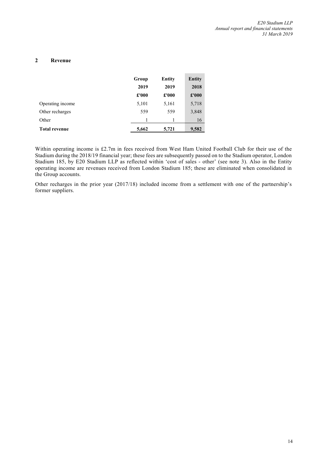#### **2 Revenue**

|                      | Group | <b>Entity</b> | <b>Entity</b> |
|----------------------|-------|---------------|---------------|
|                      | 2019  | 2019          | 2018          |
|                      | £'000 | £'000         | £'000         |
| Operating income     | 5,101 | 5,161         | 5,718         |
| Other recharges      | 559   | 559           | 3,848         |
| Other                |       |               | 16            |
| <b>Total revenue</b> | 5,662 | 5,721         | 9,582         |

Within operating income is £2.7m in fees received from West Ham United Football Club for their use of the Stadium during the 2018/19 financial year; these fees are subsequently passed on to the Stadium operator, London Stadium 185, by E20 Stadium LLP as reflected within 'cost of sales - other' (see note 3). Also in the Entity operating income are revenues received from London Stadium 185; these are eliminated when consolidated in the Group accounts.

Other recharges in the prior year (2017/18) included income from a settlement with one of the partnership's former suppliers.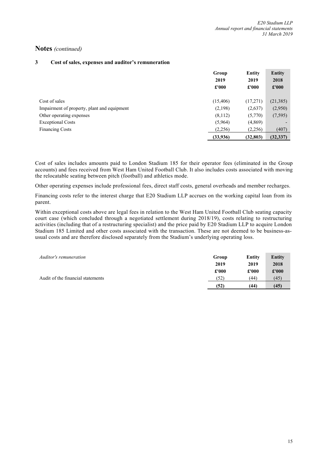### **3 Cost of sales, expenses and auditor's remuneration**

|                                             | Group     | Entity    | Entity        |
|---------------------------------------------|-----------|-----------|---------------|
|                                             | 2019      | 2019      | 2018          |
|                                             | £'000     | £'000     | $\pounds 000$ |
|                                             |           |           |               |
| Cost of sales                               | (15, 406) | (17,271)  | (21, 385)     |
| Impairment of property, plant and equipment | (2,198)   | (2,637)   | (2,950)       |
| Other operating expenses                    | (8,112)   | (5,770)   | (7,595)       |
| <b>Exceptional Costs</b>                    | (5,964)   | (4,869)   |               |
| <b>Financing Costs</b>                      | (2,256)   | (2,256)   | (407)         |
|                                             | (33,936)  | (32, 803) | (32, 337)     |

Cost of sales includes amounts paid to London Stadium 185 for their operator fees (eliminated in the Group accounts) and fees received from West Ham United Football Club. It also includes costs associated with moving the relocatable seating between pitch (football) and athletics mode.

Other operating expenses include professional fees, direct staff costs, general overheads and member recharges.

Financing costs refer to the interest charge that E20 Stadium LLP accrues on the working capital loan from its parent.

Within exceptional costs above are legal fees in relation to the West Ham United Football Club seating capacity court case (which concluded through a negotiated settlement during 2018/19), costs relating to restructuring activities (including that of a restructuring specialist) and the price paid by E20 Stadium LLP to acquire London Stadium 185 Limited and other costs associated with the transaction. These are not deemed to be business-asusual costs and are therefore disclosed separately from the Stadium's underlying operating loss.

| Auditor's remuneration            | Group | Entity | Entity |
|-----------------------------------|-------|--------|--------|
|                                   | 2019  | 2019   | 2018   |
|                                   | £'000 | £'000  | £'000  |
| Audit of the financial statements | (52   | (44)   | (45)   |
|                                   | (52)  | (44)   | (45)   |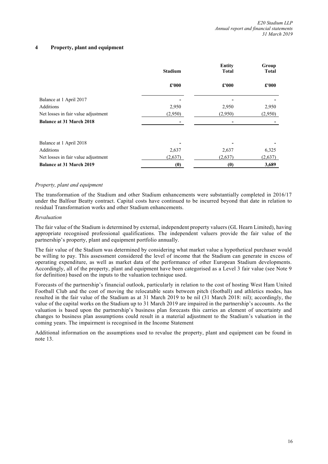### **4 Property, plant and equipment**

|                                     | <b>Stadium</b>                | Entity<br><b>Total</b> | Group<br><b>Total</b> |
|-------------------------------------|-------------------------------|------------------------|-----------------------|
|                                     | £'000                         | £'000                  | £'000                 |
| Balance at 1 April 2017             |                               |                        |                       |
| Additions                           | 2,950                         | 2,950                  | 2,950                 |
| Net losses in fair value adjustment | (2,950)                       | (2,950)                | (2,950)               |
| <b>Balance at 31 March 2018</b>     |                               |                        |                       |
| Balance at 1 April 2018             |                               |                        |                       |
| Additions                           | 2,637                         | 2,637                  | 6,325                 |
| Net losses in fair value adjustment | (2,637)                       | (2,637)                | (2,637)               |
| <b>Balance at 31 March 2019</b>     | $\boldsymbol{\left(0\right)}$ | $\boldsymbol{0}$       | 3,689                 |

#### *Property, plant and equipment*

The transformation of the Stadium and other Stadium enhancements were substantially completed in 2016/17 under the Balfour Beatty contract. Capital costs have continued to be incurred beyond that date in relation to residual Transformation works and other Stadium enhancements.

#### *Revaluation*

The fair value of the Stadium is determined by external, independent property valuers (GL Hearn Limited), having appropriate recognised professional qualifications. The independent valuers provide the fair value of the partnership's property, plant and equipment portfolio annually.

The fair value of the Stadium was determined by considering what market value a hypothetical purchaser would be willing to pay. This assessment considered the level of income that the Stadium can generate in excess of operating expenditure, as well as market data of the performance of other European Stadium developments. Accordingly, all of the property, plant and equipment have been categorised as a Level 3 fair value (see Note 9 for definition) based on the inputs to the valuation technique used.

Forecasts of the partnership's financial outlook, particularly in relation to the cost of hosting West Ham United Football Club and the cost of moving the relocatable seats between pitch (football) and athletics modes, has resulted in the fair value of the Stadium as at 31 March 2019 to be nil (31 March 2018: nil); accordingly, the value of the capital works on the Stadium up to 31 March 2019 are impaired in the partnership's accounts. As the valuation is based upon the partnership's business plan forecasts this carries an element of uncertainty and changes to business plan assumptions could result in a material adjustment to the Stadium's valuation in the coming years. The impairment is recognised in the Income Statement

Additional information on the assumptions used to revalue the property, plant and equipment can be found in note 13.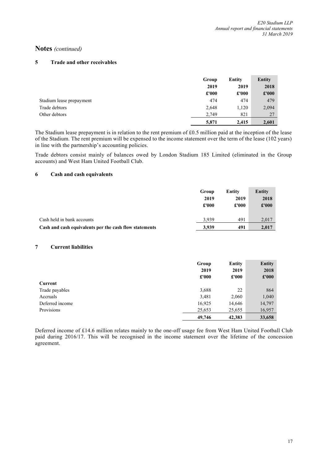### **5 Trade and other receivables**

|                          | Group | Entity | Entity |
|--------------------------|-------|--------|--------|
|                          | 2019  | 2019   | 2018   |
|                          | £'000 | £'000  | £'000  |
| Stadium lease prepayment | 474   | 474    | 479    |
| Trade debtors            | 2,648 | 1,120  | 2,094  |
| Other debtors            | 2,749 | 821    | 27     |
|                          | 5,871 | 2,415  | 2,601  |

The Stadium lease prepayment is in relation to the rent premium of £0.5 million paid at the inception of the lease of the Stadium. The rent premium will be expensed to the income statement over the term of the lease (102 years) in line with the partnership's accounting policies.

Trade debtors consist mainly of balances owed by London Stadium 185 Limited (eliminated in the Group accounts) and West Ham United Football Club.

#### **6 Cash and cash equivalents**

|                                                        | Group<br>2019<br>£'000 | Entity<br>2019<br>£'000 | Entity<br>2018<br>£'000 |
|--------------------------------------------------------|------------------------|-------------------------|-------------------------|
| Cash held in bank accounts                             | 3.939                  | 491                     | 2,017                   |
| Cash and cash equivalents per the cash flow statements | 3,939                  | 491                     | 2,017                   |

### **7 Current liabilities**

|                 | Group<br>2019<br>£'000 | Entity<br>2019<br>£'000 | Entity<br>2018<br>£'000 |
|-----------------|------------------------|-------------------------|-------------------------|
| Current         |                        |                         |                         |
| Trade payables  | 3,688                  | 22                      | 864                     |
| Accruals        | 3,481                  | 2,060                   | 1,040                   |
| Deferred income | 16,925                 | 14,646                  | 14,797                  |
| Provisions      | 25,653                 | 25,655                  | 16,957                  |
|                 | 49,746                 | 42,383                  | 33,658                  |

Deferred income of £14.6 million relates mainly to the one-off usage fee from West Ham United Football Club paid during 2016/17. This will be recognised in the income statement over the lifetime of the concession agreement.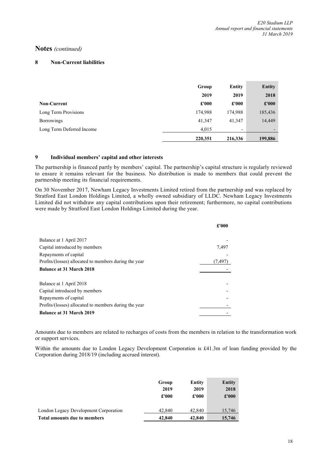### **8 Non-Current liabilities**

|                           | Group   | Entity  | Entity  |
|---------------------------|---------|---------|---------|
|                           | 2019    | 2019    | 2018    |
| <b>Non-Current</b>        | £'000   | £'000   | £'000   |
| Long Term Provisions      | 174,988 | 174,988 | 185,436 |
| <b>Borrowings</b>         | 41,347  | 41,347  | 14,449  |
| Long Term Deferred Income | 4,015   | ٠       |         |
|                           | 220,351 | 216,336 | 199,886 |

### **9 Individual members' capital and other interests**

The partnership is financed partly by members' capital. The partnership's capital structure is regularly reviewed to ensure it remains relevant for the business. No distribution is made to members that could prevent the partnership meeting its financial requirements.

On 30 November 2017, Newham Legacy Investments Limited retired from the partnership and was replaced by Stratford East London Holdings Limited, a wholly owned subsidiary of LLDC. Newham Legacy Investments Limited did not withdraw any capital contributions upon their retirement; furthermore, no capital contributions were made by Stratford East London Holdings Limited during the year.

|                                                       | £'000  |
|-------------------------------------------------------|--------|
| Balance at 1 April 2017                               |        |
| Capital introduced by members                         | 7,497  |
| Repayments of capital                                 |        |
| Profits/(losses) allocated to members during the year | (7,497 |
| <b>Balance at 31 March 2018</b>                       |        |
|                                                       |        |
| Balance at 1 April 2018                               |        |
| Capital introduced by members                         |        |
| Repayments of capital                                 |        |
| Profits/(losses) allocated to members during the year |        |
| <b>Balance at 31 March 2019</b>                       |        |

Amounts due to members are related to recharges of costs from the members in relation to the transformation work or support services.

Within the amounts due to London Legacy Development Corporation is £41.3m of loan funding provided by the Corporation during 2018/19 (including accrued interest).

|                                       | Group<br>2019<br>£'000 | Entity<br>2019<br>£'000 | Entity<br>2018<br>£'000 |
|---------------------------------------|------------------------|-------------------------|-------------------------|
| London Legacy Development Corporation | 42,840                 | 42,840                  | 15,746                  |
| <b>Total amounts due to members</b>   | 42,840                 | 42,840                  | 15,746                  |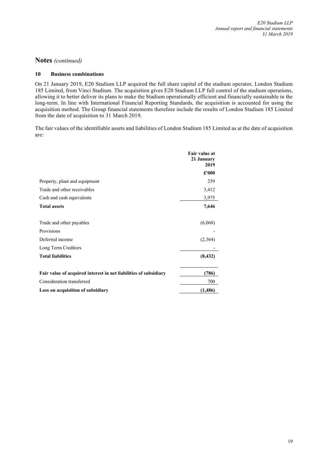### **10 Business combinations**

On 21 January 2019, E20 Stadium LLP acquired the full share capital of the stadium operator, London Stadium 185 Limited, from Vinci Stadium. The acquisition gives E20 Stadium LLP full control of the stadium operations, allowing it to better deliver its plans to make the Stadium operationally efficient and financially sustainable in the long-term. In line with International Financial Reporting Standards, the acquisition is accounted for using the acquisition method. The Group financial statements therefore include the results of London Stadium 185 Limited from the date of acquisition to 31 March 2019.

The fair values of the identifiable assets and liabilities of London Stadium 185 Limited as at the date of acquisition are:

|                                                                  | <b>Fair value at</b><br>21 January<br>2019 |
|------------------------------------------------------------------|--------------------------------------------|
|                                                                  | £'000                                      |
| Property, plant and equipment                                    | 259                                        |
| Trade and other receivables                                      | 3,412                                      |
| Cash and cash equivalents                                        | 3,975                                      |
| <b>Total assets</b>                                              | 7,646                                      |
|                                                                  |                                            |
| Trade and other payables                                         | (6,068)                                    |
| Provisions                                                       |                                            |
| Deferred income                                                  | (2,364)                                    |
| Long Term Creditors                                              |                                            |
| <b>Total liabilities</b>                                         | (8, 432)                                   |
| Fair value of acquired interest in net liabilities of subsidiary | (786)                                      |
| Consideration transferred                                        | 700                                        |
| Loss on acquisition of subsidiary                                | (1, 486)                                   |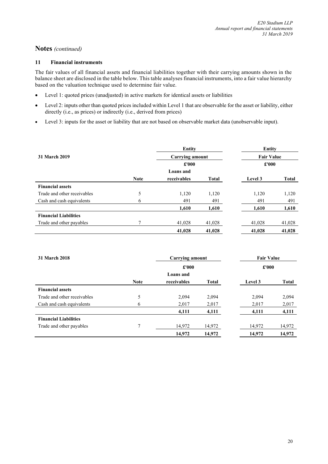### **11 Financial instruments**

The fair values of all financial assets and financial liabilities together with their carrying amounts shown in the balance sheet are disclosed in the table below. This table analyses financial instruments, into a fair value hierarchy based on the valuation technique used to determine fair value.

- Level 1: quoted prices (unadjusted) in active markets for identical assets or liabilities
- Level 2: inputs other than quoted prices included within Level 1 that are observable for the asset or liability, either directly (i.e., as prices) or indirectly (i.e., derived from prices)
- Level 3: inputs for the asset or liability that are not based on observable market data (unobservable input).

|                              |             | Entity                 |              | Entity            |        |
|------------------------------|-------------|------------------------|--------------|-------------------|--------|
| <b>31 March 2019</b>         |             | <b>Carrying amount</b> |              | <b>Fair Value</b> |        |
|                              |             | £'000                  |              | £'000             |        |
|                              |             | Loans and              |              |                   |        |
|                              | <b>Note</b> | receivables            | <b>Total</b> | Level 3           | Total  |
| <b>Financial assets</b>      |             |                        |              |                   |        |
| Trade and other receivables  | 5           | 1,120                  | 1,120        | 1,120             | 1,120  |
| Cash and cash equivalents    | 6           | 491                    | 491          | 491               | 491    |
|                              |             | 1,610                  | 1,610        | 1,610             | 1,610  |
| <b>Financial Liabilities</b> |             |                        |              |                   |        |
| Trade and other payables     |             | 41.028                 | 41,028       | 41,028            | 41,028 |
|                              |             | 41,028                 | 41,028       | 41,028            | 41,028 |

| 31 March 2018                | <b>Carrying amount</b> |                  |        | <b>Fair Value</b><br>£'000 |              |
|------------------------------|------------------------|------------------|--------|----------------------------|--------------|
|                              |                        | £'000            |        |                            |              |
|                              |                        | <b>Loans</b> and |        |                            |              |
|                              | <b>Note</b>            | receivables      | Total  | Level 3                    | <b>Total</b> |
| <b>Financial assets</b>      |                        |                  |        |                            |              |
| Trade and other receivables  | 5                      | 2,094            | 2,094  | 2,094                      | 2,094        |
| Cash and cash equivalents    | 6                      | 2,017            | 2,017  | 2,017                      | 2,017        |
|                              |                        | 4,111            | 4,111  | 4,111                      | 4,111        |
| <b>Financial Liabilities</b> |                        |                  |        |                            |              |
| Trade and other payables     | 7                      | 14,972           | 14,972 | 14,972                     | 14,972       |
|                              |                        | 14,972           | 14,972 | 14,972                     | 14,972       |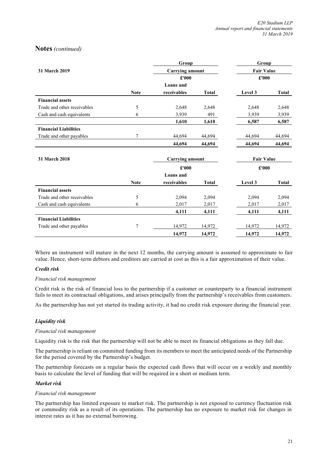|                              |                | Group                  |              | Group             |              |
|------------------------------|----------------|------------------------|--------------|-------------------|--------------|
| 31 March 2019                |                | <b>Carrying amount</b> |              | <b>Fair Value</b> |              |
|                              |                | £'000                  |              | £'000             |              |
|                              |                | <b>Loans</b> and       |              |                   |              |
|                              | <b>Note</b>    | receivables            | <b>Total</b> | Level 3           | <b>Total</b> |
| <b>Financial assets</b>      |                |                        |              |                   |              |
| Trade and other receivables  | 5              | 2,648                  | 2,648        | 2,648             | 2,648        |
| Cash and cash equivalents    | 6              | 3,939                  | 491          | 3,939             | 3,939        |
|                              |                | 1,610                  | 1,610        | 6,587             | 6,587        |
| <b>Financial Liabilities</b> |                |                        |              |                   |              |
| Trade and other payables     | 7              | 44,694                 | 44,694       | 44,694            | 44,694       |
|                              |                | 44,694                 | 44,694       | 44,694            | 44,694       |
| 31 March 2018                |                |                        |              | <b>Fair Value</b> |              |
|                              |                | <b>Carrying amount</b> |              |                   |              |
|                              |                | £'000                  |              | £'000             |              |
|                              |                | <b>Loans</b> and       |              |                   |              |
|                              | <b>Note</b>    | receivables            | <b>Total</b> | Level 3           | <b>Total</b> |
| <b>Financial assets</b>      |                |                        |              |                   |              |
| Trade and other receivables  | 5              | 2,094                  | 2,094        | 2,094             | 2,094        |
| Cash and cash equivalents    | 6              | 2,017                  | 2,017        | 2,017             | 2,017        |
|                              |                | 4,111                  | 4,111        | 4,111             | 4,111        |
| <b>Financial Liabilities</b> |                |                        |              |                   |              |
| Trade and other payables     | $\overline{7}$ | 14,972                 | 14,972       | 14,972            | 14,972       |
|                              |                | 14,972                 | 14,972       | 14,972            | 14,972       |

Where an instrument will mature in the next 12 months, the carrying amount is assumed to approximate to fair value. Hence, short-term debtors and creditors are carried at cost as this is a fair approximation of their value.

### *Credit risk*

#### *Financial risk management*

Credit risk is the risk of financial loss to the partnership if a customer or counterparty to a financial instrument fails to meet its contractual obligations, and arises principally from the partnership's receivables from customers.

As the partnership has not yet started its trading activity, it had no credit risk exposure during the financial year.

### *Liquidity risk*

### *Financial risk management*

Liquidity risk is the risk that the partnership will not be able to meet its financial obligations as they fall due.

The partnership is reliant on committed funding from its members to meet the anticipated needs of the Partnership for the period covered by the Partnership's budget.

The partnership forecasts on a regular basis the expected cash flows that will occur on a weekly and monthly basis to calculate the level of funding that will be required in a short or medium term.

### *Market risk*

#### *Financial risk management*

The partnership has limited exposure to market risk. The partnership is not exposed to currency fluctuation risk or commodity risk as a result of its operations. The partnership has no exposure to market risk for changes in interest rates as it has no external borrowing.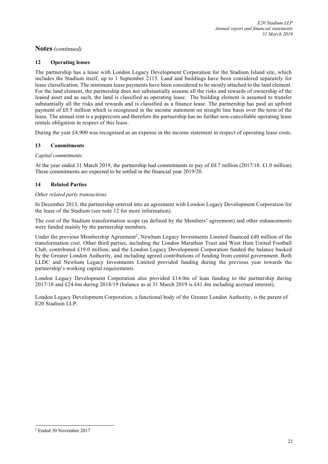### **12 Operating leases**

The partnership has a lease with London Legacy Development Corporation for the Stadium Island site, which includes the Stadium itself, up to 1 September 2115. Land and buildings have been considered separately for lease classification. The minimum lease payments have been considered to be mostly attached to the land element. For the land element, the partnership does not substantially assume all the risks and rewards of ownership of the leased asset and as such, the land is classified as operating lease. The building element is assumed to transfer substantially all the risks and rewards and is classified as a finance lease. The partnership has paid an upfront payment of £0.5 million which is recognised in the income statement on straight line basis over the term of the lease. The annual rent is a peppercorn and therefore the partnership has no further non-cancellable operating lease rentals obligation in respect of this lease.

During the year £4,900 was recognised as an expense in the income statement in respect of operating lease costs.

### **13 Commitments**

### *Capital commitments*

At the year ended 31 March 2019, the partnership had commitments to pay of £0.7 million (2017/18: £1.0 million). These commitments are expected to be settled in the financial year 2019/20.

### **14 Related Parties**

### *Other related party transactions*

In December 2013, the partnership entered into an agreement with London Legacy Development Corporation for the lease of the Stadium (see note 12 for more information).

The cost of the Stadium transformation scope (as defined by the Members' agreement) and other enhancements were funded mainly by the partnership members.

Under the previous Membership Agreement<sup>2</sup>, Newham Legacy Investments Limited financed £40 million of the transformation cost. Other third parties, including the London Marathon Trust and West Ham United Football Club, contributed £19.0 million, and the London Legacy Development Corporation funded the balance backed by the Greater London Authority, and including agreed contributions of funding from central government. Both LLDC and Newham Legacy Investments Limited provided funding during the previous year towards the partnership's working capital requirements.

London Legacy Development Corporation also provided £14.0m of loan funding to the partnership during 2017/18 and £24.6m during 2018/19 (balance as at 31 March 2019 is £41.4m including accrued interest).

London Legacy Development Corporation, a functional body of the Greater London Authority, is the parent of E20 Stadium LLP.

1

<sup>2</sup> Ended 30 November 2017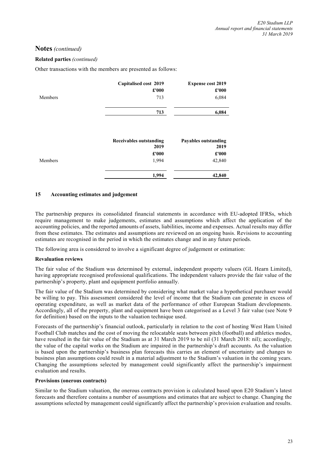### **Related parties** *(continued)*

Other transactions with the members are presented as follows:

|         | Capitalised cost 2019          | <b>Expense cost 2019</b>    |
|---------|--------------------------------|-----------------------------|
|         | £'000                          | £'000                       |
| Members | 713                            | 6,084                       |
|         | 713                            | 6,084                       |
|         | <b>Receivables outstanding</b> | <b>Payables outstanding</b> |
|         | 2019                           | 2019                        |
|         | £'000                          | £'000                       |
| Members | 1,994                          | 42,840                      |
|         | 1,994                          | 42,840                      |

### **15 Accounting estimates and judgement**

The partnership prepares its consolidated financial statements in accordance with EU-adopted IFRSs, which require management to make judgements, estimates and assumptions which affect the application of the accounting policies, and the reported amounts of assets, liabilities, income and expenses. Actual results may differ from these estimates. The estimates and assumptions are reviewed on an ongoing basis. Revisions to accounting estimates are recognised in the period in which the estimates change and in any future periods.

The following area is considered to involve a significant degree of judgement or estimation:

### **Revaluation reviews**

The fair value of the Stadium was determined by external, independent property valuers (GL Hearn Limited), having appropriate recognised professional qualifications. The independent valuers provide the fair value of the partnership's property, plant and equipment portfolio annually.

The fair value of the Stadium was determined by considering what market value a hypothetical purchaser would be willing to pay. This assessment considered the level of income that the Stadium can generate in excess of operating expenditure, as well as market data of the performance of other European Stadium developments. Accordingly, all of the property, plant and equipment have been categorised as a Level 3 fair value (see Note 9 for definition) based on the inputs to the valuation technique used.

Forecasts of the partnership's financial outlook, particularly in relation to the cost of hosting West Ham United Football Club matches and the cost of moving the relocatable seats between pitch (football) and athletics modes, have resulted in the fair value of the Stadium as at 31 March 2019 to be nil (31 March 2018: nil); accordingly, the value of the capital works on the Stadium are impaired in the partnership's draft accounts. As the valuation is based upon the partnership's business plan forecasts this carries an element of uncertainty and changes to business plan assumptions could result in a material adjustment to the Stadium's valuation in the coming years. Changing the assumptions selected by management could significantly affect the partnership's impairment evaluation and results.

### **Provisions (onerous contracts)**

Similar to the Stadium valuation, the onerous contracts provision is calculated based upon E20 Stadium's latest forecasts and therefore contains a number of assumptions and estimates that are subject to change. Changing the assumptions selected by management could significantly affect the partnership's provision evaluation and results.